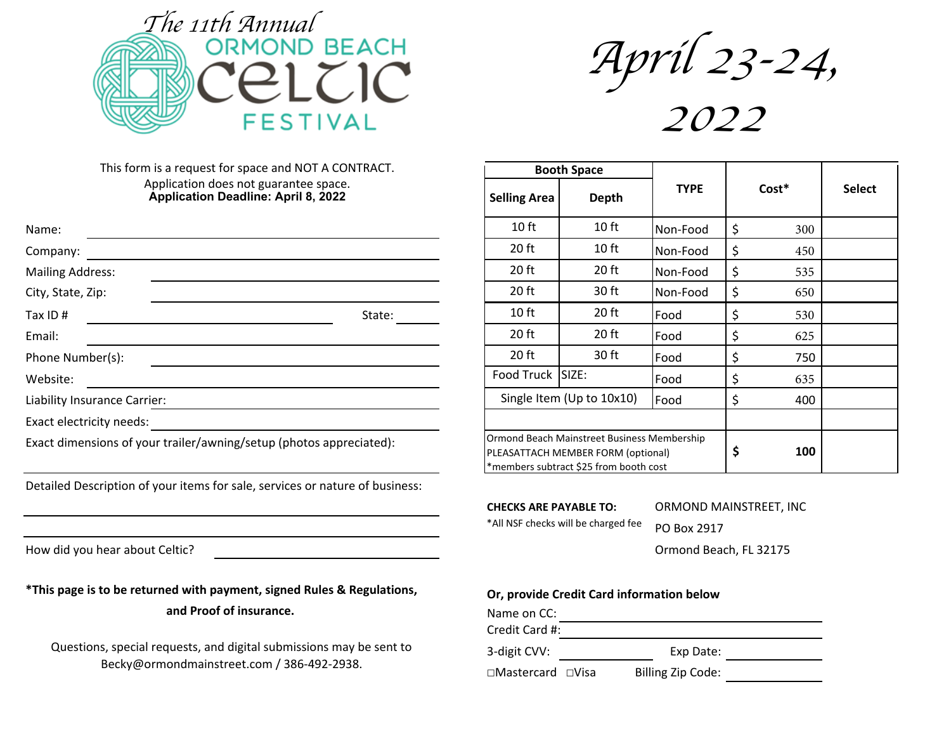

April <sup>23</sup>-24,

2022

This form is a request for space and NOT A CONTRACT. Application does not guarantee space. **Application Deadline: April 8, 2022**

| Name:                                                               |        | 10 ft                                                                               | 10 <sub>ft</sub> | Non-Food |   | 300 |
|---------------------------------------------------------------------|--------|-------------------------------------------------------------------------------------|------------------|----------|---|-----|
| Company:                                                            |        | 20 ft                                                                               | 10 <sub>ft</sub> | Non-Food |   | 450 |
| <b>Mailing Address:</b>                                             |        | 20 ft                                                                               | 20 ft            | Non-Food |   | 535 |
| City, State, Zip:                                                   |        | 20 ft                                                                               | 30 ft            | Non-Food |   | 650 |
| Tax ID#                                                             | State: | 10 <sub>ft</sub>                                                                    | 20 ft            | Food     | ১ | 530 |
| Email:                                                              |        | 20 ft                                                                               | 20 ft            | Food     |   | 625 |
| Phone Number(s):                                                    |        | 20 ft                                                                               | 30 ft            | Food     |   | 750 |
| Website:                                                            |        | Food Truck SIZE:                                                                    |                  | Food     |   | 635 |
| Liability Insurance Carrier:                                        |        | Single Item (Up to 10x10)                                                           |                  |          |   | 400 |
| Exact electricity needs:                                            |        |                                                                                     |                  |          |   |     |
| Exact dimensions of your trailer/awning/setup (photos appreciated): |        | Ormond Beach Mainstreet Business Membership<br>IPI FASATTACH MEMRER FORM (ontional) |                  |          |   | 100 |

Detailed Description of your items for sale, services or nature of business:

| ----- <b>-</b>      |                                                                                                                             |             |           |               |
|---------------------|-----------------------------------------------------------------------------------------------------------------------------|-------------|-----------|---------------|
| <b>Selling Area</b> | <b>Depth</b>                                                                                                                | <b>TYPE</b> | Cost*     | <b>Select</b> |
| 10 <sub>ft</sub>    | 10 <sub>ft</sub>                                                                                                            | Non-Food    | \$<br>300 |               |
| 20 <sub>ft</sub>    | 10 <sub>ft</sub>                                                                                                            | Non-Food    | \$<br>450 |               |
| $20$ ft             | 20 <sub>ft</sub>                                                                                                            | Non-Food    | \$<br>535 |               |
| 20 ft               | 30 ft                                                                                                                       | Non-Food    | \$<br>650 |               |
| 10 <sub>ft</sub>    | 20 ft                                                                                                                       | Food        | \$<br>530 |               |
| $20$ ft             | 20 <sub>ft</sub>                                                                                                            | Food        | \$<br>625 |               |
| $20$ ft             | 30 ft                                                                                                                       | Food        | \$<br>750 |               |
| Food Truck          | <b>ISIZE:</b>                                                                                                               | Food        | \$<br>635 |               |
|                     | Single Item (Up to 10x10)                                                                                                   | Food        | \$<br>400 |               |
|                     |                                                                                                                             |             |           |               |
|                     | Ormond Beach Mainstreet Business Membership<br>PLEASATTACH MEMBER FORM (optional)<br>*members subtract \$25 from booth cost |             | \$<br>100 |               |

**CHECKS ARE PAYABLE TO: ORMOND MAINSTREET, INC** 

\*All NSF checks will be charged fee PO Box 2917

**Booth Space**

How did you hear about Celtic? The state of the state of the state of the state of the state of the state of the state of the state of the state of the state of the state of the state of the state of the state of the state

\*This page is to be returned with payment, signed Rules & Regulations, **Or, provide Credit Card** information below

and Proof of insurance.

Questions, special requests, and digital submissions may be sent to Becky@ormondmainstreet.com / 386-492-2938.

| Name on CC:                   |                   |  |
|-------------------------------|-------------------|--|
| Credit Card #:                |                   |  |
| 3-digit CVV:                  | Exp Date:         |  |
| $\Box$ Mastercard $\Box$ Visa | Billing Zip Code: |  |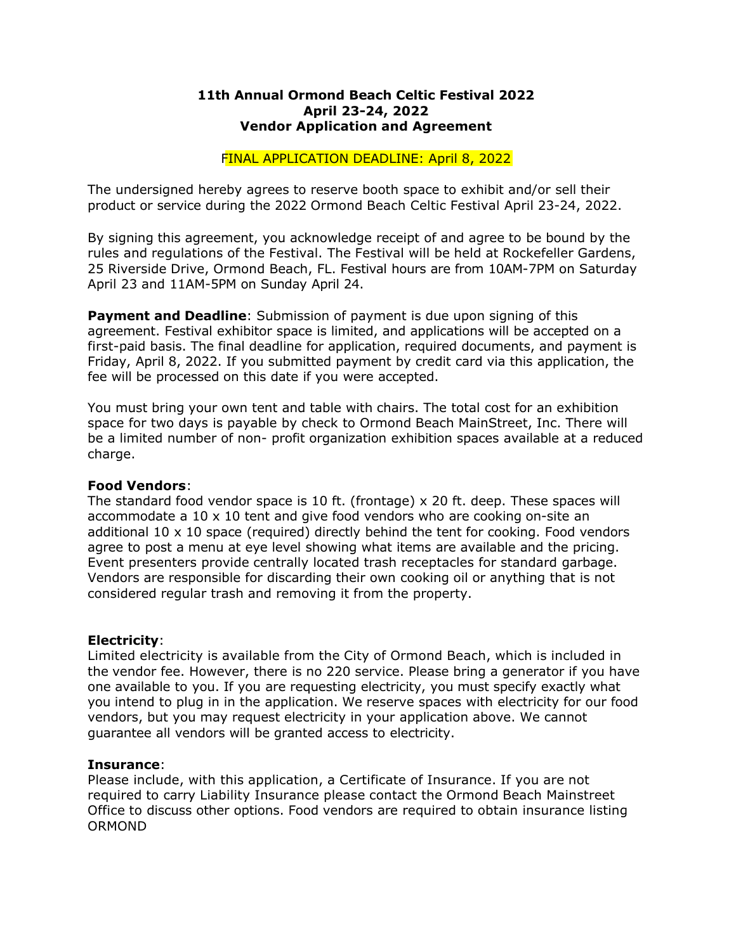### **11th Annual Ormond Beach Celtic Festival 2022 April 23-24, 2022 Vendor Application and Agreement**

## FINAL APPLICATION DEADLINE: April 8, 2022

The undersigned hereby agrees to reserve booth space to exhibit and/or sell their product or service during the 2022 Ormond Beach Celtic Festival April 23-24, 2022.

By signing this agreement, you acknowledge receipt of and agree to be bound by the rules and regulations of the Festival. The Festival will be held at Rockefeller Gardens, 25 Riverside Drive, Ormond Beach, FL. Festival hours are from 10AM-7PM on Saturday April 23 and 11AM-5PM on Sunday April 24.

**Payment and Deadline**: Submission of payment is due upon signing of this agreement. Festival exhibitor space is limited, and applications will be accepted on a first-paid basis. The final deadline for application, required documents, and payment is Friday, April 8, 2022. If you submitted payment by credit card via this application, the fee will be processed on this date if you were accepted.

You must bring your own tent and table with chairs. The total cost for an exhibition space for two days is payable by check to Ormond Beach MainStreet, Inc. There will be a limited number of non- profit organization exhibition spaces available at a reduced charge.

#### **Food Vendors**:

The standard food vendor space is 10 ft. (frontage) x 20 ft. deep. These spaces will accommodate a 10 x 10 tent and give food vendors who are cooking on-site an additional 10 x 10 space (required) directly behind the tent for cooking. Food vendors agree to post a menu at eye level showing what items are available and the pricing. Event presenters provide centrally located trash receptacles for standard garbage. Vendors are responsible for discarding their own cooking oil or anything that is not considered regular trash and removing it from the property.

## **Electricity**:

Limited electricity is available from the City of Ormond Beach, which is included in the vendor fee. However, there is no 220 service. Please bring a generator if you have one available to you. If you are requesting electricity, you must specify exactly what you intend to plug in in the application. We reserve spaces with electricity for our food vendors, but you may request electricity in your application above. We cannot guarantee all vendors will be granted access to electricity.

#### **Insurance**:

Please include, with this application, a Certificate of Insurance. If you are not required to carry Liability Insurance please contact the Ormond Beach Mainstreet Office to discuss other options. Food vendors are required to obtain insurance listing ORMOND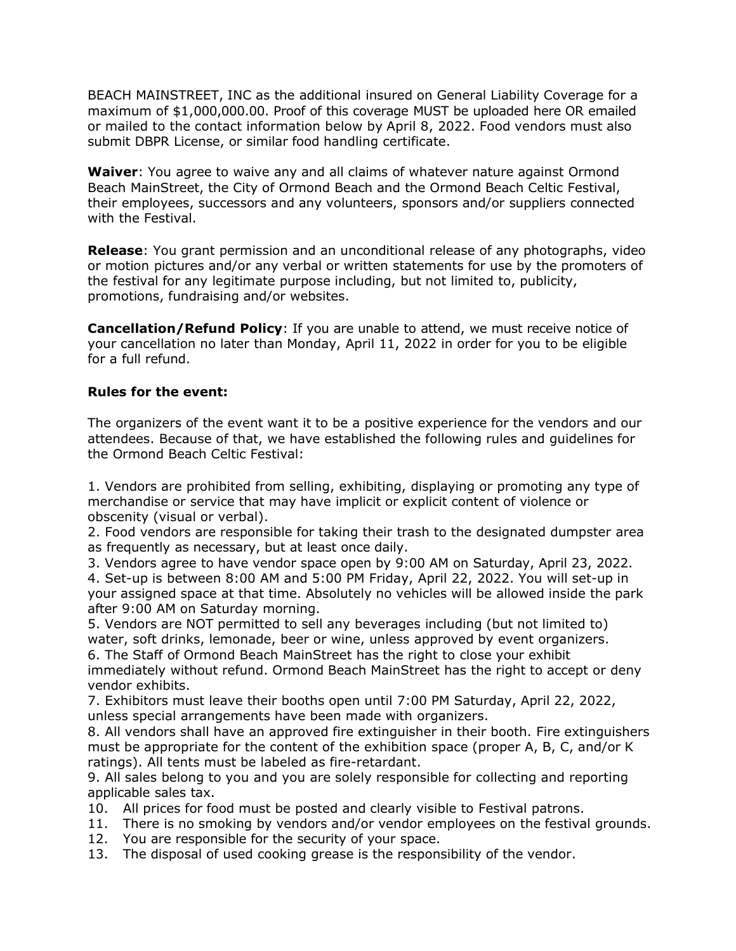BEACH MAINSTREET, INC as the additional insured on General Liability Coverage for a maximum of \$1,000,000.00. Proof of this coverage MUST be uploaded here OR emailed or mailed to the contact information below by April 8, 2022. Food vendors must also submit DBPR License, or similar food handling certificate.

**Waiver**: You agree to waive any and all claims of whatever nature against Ormond Beach MainStreet, the City of Ormond Beach and the Ormond Beach Celtic Festival, their employees, successors and any volunteers, sponsors and/or suppliers connected with the Festival.

**Release**: You grant permission and an unconditional release of any photographs, video or motion pictures and/or any verbal or written statements for use by the promoters of the festival for any legitimate purpose including, but not limited to, publicity, promotions, fundraising and/or websites.

**Cancellation/Refund Policy**: If you are unable to attend, we must receive notice of your cancellation no later than Monday, April 11, 2022 in order for you to be eligible for a full refund.

# **Rules for the event:**

The organizers of the event want it to be a positive experience for the vendors and our attendees. Because of that, we have established the following rules and guidelines for the Ormond Beach Celtic Festival:

1. Vendors are prohibited from selling, exhibiting, displaying or promoting any type of merchandise or service that may have implicit or explicit content of violence or obscenity (visual or verbal).

2. Food vendors are responsible for taking their trash to the designated dumpster area as frequently as necessary, but at least once daily.

3. Vendors agree to have vendor space open by 9:00 AM on Saturday, April 23, 2022.

4. Set-up is between 8:00 AM and 5:00 PM Friday, April 22, 2022. You will set-up in your assigned space at that time. Absolutely no vehicles will be allowed inside the park after 9:00 AM on Saturday morning.

5. Vendors are NOT permitted to sell any beverages including (but not limited to) water, soft drinks, lemonade, beer or wine, unless approved by event organizers.

6. The Staff of Ormond Beach MainStreet has the right to close your exhibit immediately without refund. Ormond Beach MainStreet has the right to accept or deny vendor exhibits.

7. Exhibitors must leave their booths open until 7:00 PM Saturday, April 22, 2022, unless special arrangements have been made with organizers.

8. All vendors shall have an approved fire extinguisher in their booth. Fire extinguishers must be appropriate for the content of the exhibition space (proper A, B, C, and/or K ratings). All tents must be labeled as fire-retardant.

9. All sales belong to you and you are solely responsible for collecting and reporting applicable sales tax.

- 10. All prices for food must be posted and clearly visible to Festival patrons.
- 11. There is no smoking by vendors and/or vendor employees on the festival grounds.
- 12. You are responsible for the security of your space.
- 13. The disposal of used cooking grease is the responsibility of the vendor.